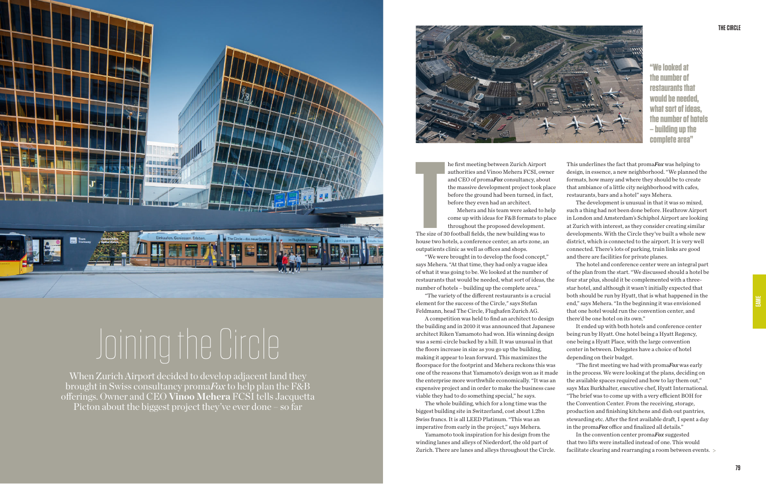## **THE CIRCLE**



**"We looked at the number of restaurants that would be needed, what sort of ideas, the number of hotels – building up the complete area"**

he first meeting between Zurich Airport authorities and Vinoo Mehera FCSI, owner and CEO of proma*Fox* consultancy, about the massive development project took place before the ground had been turned, in fact, before they even had an architect.

**The size of 3**<br>The size of 3<br>house two h The size of 30 football fields, the new building was to house two hotels, a conference center, an arts zone, an outpatients clinic as well as offices and shops.

Mehera and his team were asked to help come up with ideas for F&B formats to place throughout the proposed development.

"We were brought in to develop the food concept," says Mehera. "At that time, they had only a vague idea of what it was going to be. We looked at the number of restaurants that would be needed, what sort of ideas, the number of hotels – building up the complete area."

"The variety of the different restaurants is a crucial element for the success of the Circle," says Stefan Feldmann, head The Circle, Flughafen Zurich AG.

A competition was held to find an architect to design the building and in 2010 it was announced that Japanese architect Riken Yamamoto had won. His winning design was a semi-circle backed by a hill. It was unusual in that the floors increase in size as you go up the building, making it appear to lean forward. This maximizes the floorspace for the footprint and Mehera reckons this was one of the reasons that Yamamoto's design won as it made the enterprise more worthwhile economically. "It was an expensive project and in order to make the business case viable they had to do something special," he says.

The whole building, which for a long time was the biggest building site in Switzerland, cost about 1.2bn Swiss francs. It is all LEED Platinum. "This was an imperative from early in the project," says Mehera.

Yamamoto took inspiration for his design from the winding lanes and alleys of Niederdorf, the old part of Zurich. There are lanes and alleys throughout the Circle.

This underlines the fact that proma*Fox* was helping to design, in essence, a new neighborhood. "We planned the formats, how many and where they should be to create that ambiance of a little city neighborhood with cafes, restaurants, bars and a hotel" says Mehera.

The development is unusual in that it was so mixed, such a thing had not been done before. Heathrow Airport in London and Amsterdam's Schiphol Airport are looking at Zurich with interest, as they consider creating similar developments. With the Circle they've built a whole new district, which is connected to the airport. It is very well connected. There's lots of parking, train links are good and there are facilities for private planes.

The hotel and conference center were an integral part of the plan from the start. "We discussed should a hotel be four star plus, should it be complemented with a threestar hotel, and although it wasn't initially expected that both should be run by Hyatt, that is what happened in the end," says Mehera. "In the beginning it was envisioned that one hotel would run the convention center, and there'd be one hotel on its own."

It ended up with both hotels and conference center being run by Hyatt. One hotel being a Hyatt Regency, one being a Hyatt Place, with the large convention center in between. Delegates have a choice of hotel depending on their budget.

"The first meeting we had with proma*Fox* was early in the process. We were looking at the plans, deciding on the available spaces required and how to lay them out," says Max Burkhalter, executive chef, Hyatt International. "The brief was to come up with a very efficient BOH for the Convention Center. From the receiving, storage, production and finishing kitchens and dish out pantries, stewarding etc. After the first available draft, I spent a day in the proma*Fox* office and finalized all details." In the convention center proma*Fox* suggested that two lifts were installed instead of one. This would facilitate clearing and rearranging a room between events.

When Zurich Airport decided to develop adjacent land they brought in Swiss consultancy proma*Fox* to help plan the F&B offerings. Owner and CEO **Vinoo Mehera** FCSI tells Jacquetta Picton about the biggest project they've ever done – so far



## Joining the Circle